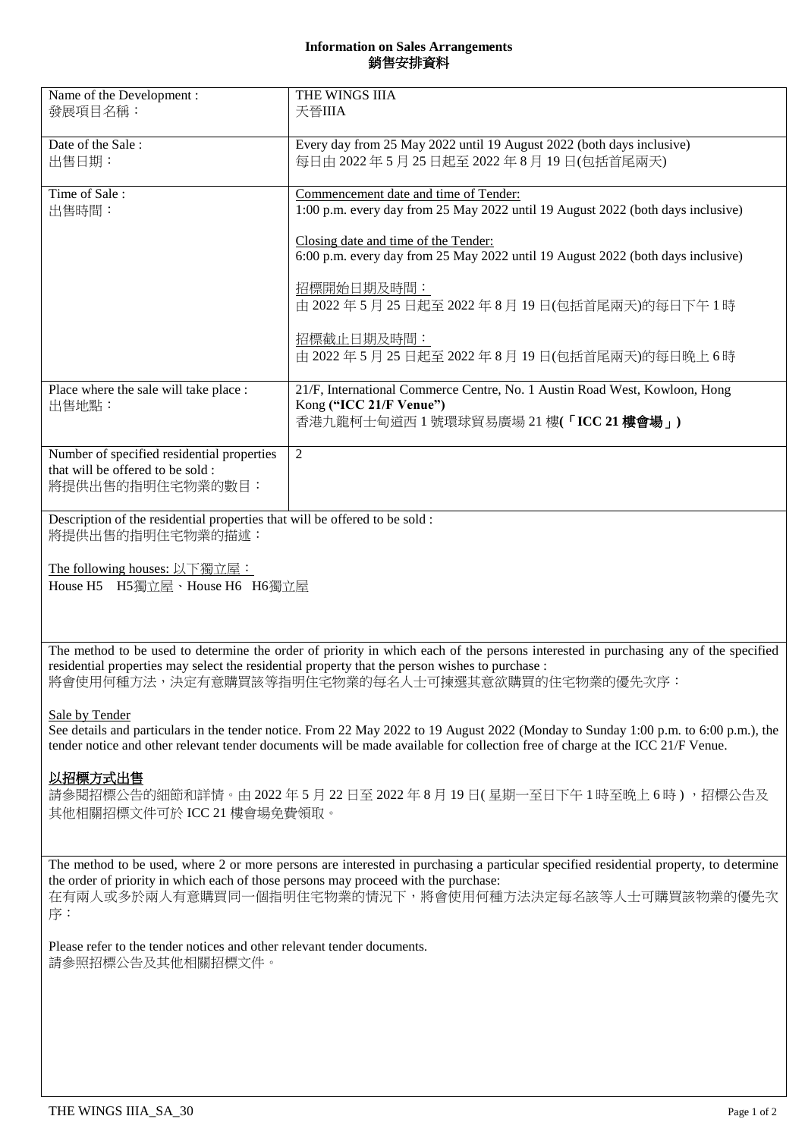## **Information on Sales Arrangements** 銷售安排資料

| Name of the Development :<br>發展項目名稱:                                                               | THE WINGS IIIA<br>天晉IIIA                                                                                                                                                                                                                                                                                                                                               |
|----------------------------------------------------------------------------------------------------|------------------------------------------------------------------------------------------------------------------------------------------------------------------------------------------------------------------------------------------------------------------------------------------------------------------------------------------------------------------------|
| Date of the Sale:<br>出售日期:                                                                         | Every day from 25 May 2022 until 19 August 2022 (both days inclusive)<br>每日由 2022年5月25日起至 2022年8月19日(包括首尾兩天)                                                                                                                                                                                                                                                           |
| Time of Sale:<br>出售時間:                                                                             | Commencement date and time of Tender:<br>1:00 p.m. every day from 25 May 2022 until 19 August 2022 (both days inclusive)<br>Closing date and time of the Tender:<br>6:00 p.m. every day from 25 May 2022 until 19 August 2022 (both days inclusive)<br>招標開始日期及時間:<br>由 2022年5月25日起至2022年8月19日(包括首尾兩天)的每日下午1時<br>招標截止日期及時間:<br>由 2022年5月25日起至 2022年8月19日(包括首尾兩天)的每日晚上6時 |
| Place where the sale will take place :<br>出售地點:                                                    | 21/F, International Commerce Centre, No. 1 Austin Road West, Kowloon, Hong<br>Kong ("ICC 21/F Venue")<br>香港九龍柯士甸道西1號環球貿易廣場 21樓(「ICC 21樓會場」)                                                                                                                                                                                                                            |
| Number of specified residential properties<br>that will be offered to be sold:<br>將提供出售的指明住宅物業的數目: | 2                                                                                                                                                                                                                                                                                                                                                                      |
| Description of the residential properties that will be offered to be sold :<br>將提供出售的指明住宅物業的描述:    |                                                                                                                                                                                                                                                                                                                                                                        |
| The following houses: 以下獨立屋:                                                                       |                                                                                                                                                                                                                                                                                                                                                                        |

House H5 H5獨立屋、House H6 H6獨立屋

The method to be used to determine the order of priority in which each of the persons interested in purchasing any of the specified residential properties may select the residential property that the person wishes to purchase : 將會使用何種方法,決定有意購買該等指明住宅物業的每名人士可揀選其意欲購買的住宅物業的優先次序:

## Sale by Tender

See details and particulars in the tender notice. From 22 May 2022 to 19 August 2022 (Monday to Sunday 1:00 p.m. to 6:00 p.m.), the tender notice and other relevant tender documents will be made available for collection free of charge at the ICC 21/F Venue.

## 以招標方式出售

請參閱招標公告的細節和詳情。由 2022 年 5 月 22 日至 2022 年 8 月 19 日( 星期一至日下午 1 時至晚上 6 時 ) ,招標公告及 其他相關招標文件可於 ICC 21 樓會場免費領取。

The method to be used, where 2 or more persons are interested in purchasing a particular specified residential property, to determine the order of priority in which each of those persons may proceed with the purchase: 在有兩人或多於兩人有意購買同一個指明住宅物業的情況下,將會使用何種方法決定每名該等人士可購買該物業的優先次 序:

Please refer to the tender notices and other relevant tender documents. 請參照招標公告及其他相關招標文件。